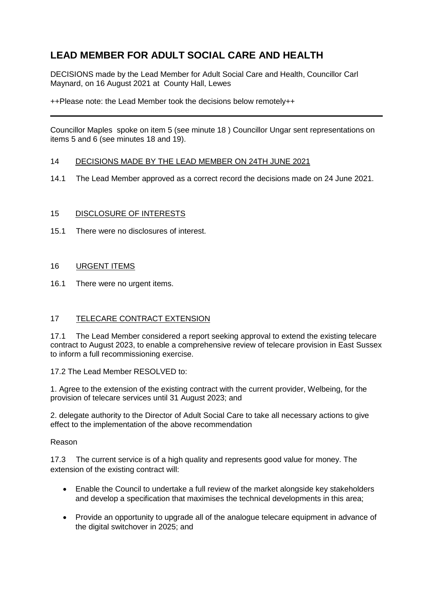# **LEAD MEMBER FOR ADULT SOCIAL CARE AND HEALTH**

DECISIONS made by the Lead Member for Adult Social Care and Health, Councillor Carl Maynard, on 16 August 2021 at County Hall, Lewes

++Please note: the Lead Member took the decisions below remotely++

Councillor Maples spoke on item 5 (see minute 18 ) Councillor Ungar sent representations on items 5 and 6 (see minutes 18 and 19).

#### 14 DECISIONS MADE BY THE LEAD MEMBER ON 24TH JUNE 2021

14.1 The Lead Member approved as a correct record the decisions made on 24 June 2021.

## 15 DISCLOSURE OF INTERESTS

15.1 There were no disclosures of interest.

#### 16 URGENT ITEMS

16.1 There were no urgent items.

## 17 TELECARE CONTRACT EXTENSION

17.1 The Lead Member considered a report seeking approval to extend the existing telecare contract to August 2023, to enable a comprehensive review of telecare provision in East Sussex to inform a full recommissioning exercise.

17.2 The Lead Member RESOLVED to:

1. Agree to the extension of the existing contract with the current provider, Welbeing, for the provision of telecare services until 31 August 2023; and

2. delegate authority to the Director of Adult Social Care to take all necessary actions to give effect to the implementation of the above recommendation

#### Reason

17.3 The current service is of a high quality and represents good value for money. The extension of the existing contract will:

- Enable the Council to undertake a full review of the market alongside key stakeholders and develop a specification that maximises the technical developments in this area;
- Provide an opportunity to upgrade all of the analogue telecare equipment in advance of the digital switchover in 2025; and